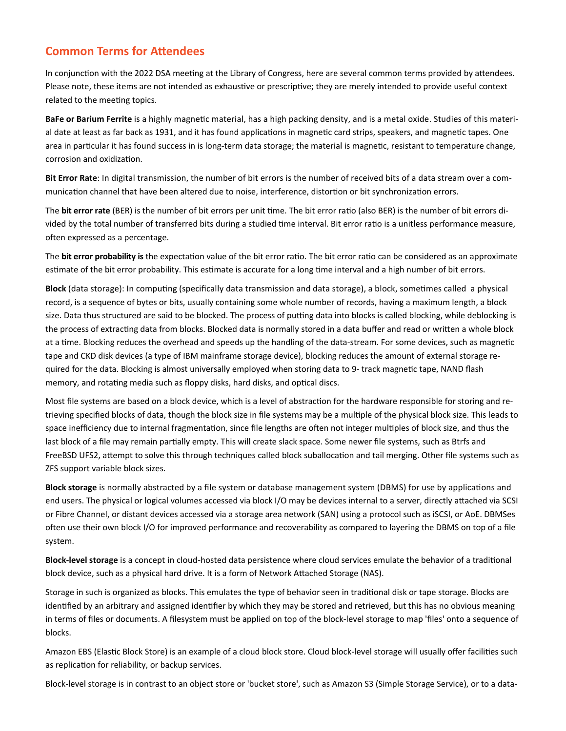# **Common Terms for Attendees**

In conjunction with the 2022 DSA meeting at the Library of Congress, here are several common terms provided by attendees. Please note, these items are not intended as exhaustive or prescriptive; they are merely intended to provide useful context related to the meeting topics.

**BaFe or Barium Ferrite** is a highly magnetic material, has a high packing density, and is a metal oxide. Studies of this material date at least as far back as 1931, and it has found applications in magnetic card strips, speakers, and magnetic tapes. One area in particular it has found success in is long-term data storage; the material is magnetic, resistant to temperature change, corrosion and oxidization.

**Bit Error Rate**: In digital transmission, the number of bit errors is the number of received bits of a data stream over a communication channel that have been altered due to noise, interference, distortion or bit synchronization errors.

The **bit error rate** (BER) is the number of bit errors per unit time. The bit error ratio (also BER) is the number of bit errors divided by the total number of transferred bits during a studied time interval. Bit error ratio is a unitless performance measure, often expressed as a percentage.

The **bit error probability is** the expectation value of the bit error ratio. The bit error ratio can be considered as an approximate estimate of the bit error probability. This estimate is accurate for a long time interval and a high number of bit errors.

**Block** (data storage): In computing (specifically data transmission and data storage), a block, sometimes called a physical record, is a sequence of bytes or bits, usually containing some whole number of records, having a maximum length, a block size. Data thus structured are said to be blocked. The process of putting data into blocks is called blocking, while deblocking is the process of extracting data from blocks. Blocked data is normally stored in a data buffer and read or written a whole block at a time. Blocking reduces the overhead and speeds up the handling of the data-stream. For some devices, such as magnetic tape and CKD disk devices (a type of IBM mainframe storage device), blocking reduces the amount of external storage required for the data. Blocking is almost universally employed when storing data to 9- track magnetic tape, NAND flash memory, and rotating media such as floppy disks, hard disks, and optical discs.

Most file systems are based on a block device, which is a level of abstraction for the hardware responsible for storing and retrieving specified blocks of data, though the block size in file systems may be a multiple of the physical block size. This leads to space inefficiency due to internal fragmentation, since file lengths are often not integer multiples of block size, and thus the last block of a file may remain partially empty. This will create slack space. Some newer file systems, such as Btrfs and FreeBSD UFS2, attempt to solve this through techniques called block suballocation and tail merging. Other file systems such as ZFS support variable block sizes.

**Block storage** is normally abstracted by a file system or database management system (DBMS) for use by applications and end users. The physical or logical volumes accessed via block I/O may be devices internal to a server, directly attached via SCSI or Fibre Channel, or distant devices accessed via a storage area network (SAN) using a protocol such as iSCSI, or AoE. DBMSes often use their own block I/O for improved performance and recoverability as compared to layering the DBMS on top of a file system.

**Block-level storage** is a concept in cloud-hosted data persistence where cloud services emulate the behavior of a traditional block device, such as a physical hard drive. It is a form of Network Attached Storage (NAS).

Storage in such is organized as blocks. This emulates the type of behavior seen in traditional disk or tape storage. Blocks are identified by an arbitrary and assigned identifier by which they may be stored and retrieved, but this has no obvious meaning in terms of files or documents. A filesystem must be applied on top of the block-level storage to map 'files' onto a sequence of blocks.

Amazon EBS (Elastic Block Store) is an example of a cloud block store. Cloud block-level storage will usually offer facilities such as replication for reliability, or backup services.

Block-level storage is in contrast to an object store or 'bucket store', such as Amazon S3 (Simple Storage Service), or to a data-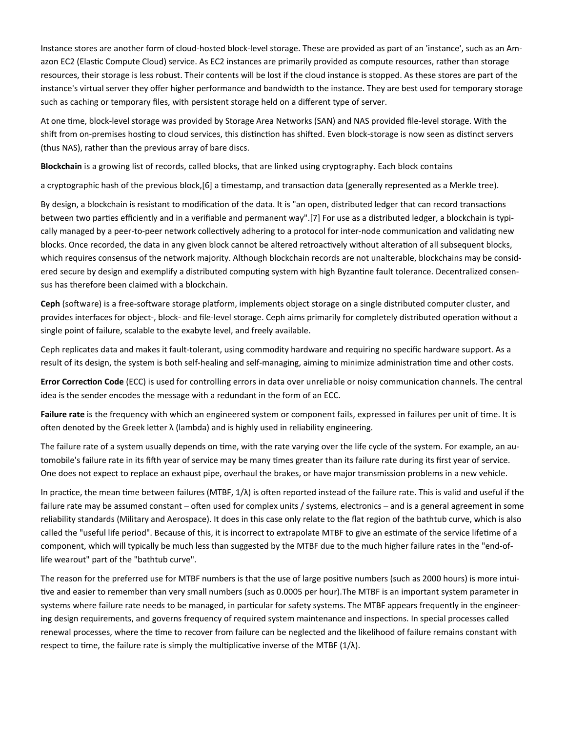Instance stores are another form of cloud-hosted block-level storage. These are provided as part of an 'instance', such as an Amazon EC2 (Elastic Compute Cloud) service. As EC2 instances are primarily provided as compute resources, rather than storage resources, their storage is less robust. Their contents will be lost if the cloud instance is stopped. As these stores are part of the instance's virtual server they offer higher performance and bandwidth to the instance. They are best used for temporary storage such as caching or temporary files, with persistent storage held on a different type of server.

At one time, block-level storage was provided by Storage Area Networks (SAN) and NAS provided file-level storage. With the shift from on-premises hosting to cloud services, this distinction has shifted. Even block-storage is now seen as distinct servers (thus NAS), rather than the previous array of bare discs.

**Blockchain** is a growing list of records, called blocks, that are linked using cryptography. Each block contains

a cryptographic hash of the previous block,[6] a timestamp, and transaction data (generally represented as a Merkle tree).

By design, a blockchain is resistant to modification of the data. It is "an open, distributed ledger that can record transactions between two parties efficiently and in a verifiable and permanent way".[7] For use as a distributed ledger, a blockchain is typically managed by a peer-to-peer network collectively adhering to a protocol for inter-node communication and validating new blocks. Once recorded, the data in any given block cannot be altered retroactively without alteration of all subsequent blocks, which requires consensus of the network majority. Although blockchain records are not unalterable, blockchains may be considered secure by design and exemplify a distributed computing system with high Byzantine fault tolerance. Decentralized consensus has therefore been claimed with a blockchain.

**Ceph** (software) is a free-software storage platform, implements object storage on a single distributed computer cluster, and provides interfaces for object-, block- and file-level storage. Ceph aims primarily for completely distributed operation without a single point of failure, scalable to the exabyte level, and freely available.

Ceph replicates data and makes it fault-tolerant, using commodity hardware and requiring no specific hardware support. As a result of its design, the system is both self-healing and self-managing, aiming to minimize administration time and other costs.

**Error Correction Code** (ECC) is used for controlling errors in data over unreliable or noisy communication channels. The central idea is the sender encodes the message with a redundant in the form of an ECC.

**Failure rate** is the frequency with which an engineered system or component fails, expressed in failures per unit of time. It is often denoted by the Greek letter  $\lambda$  (lambda) and is highly used in reliability engineering.

The failure rate of a system usually depends on time, with the rate varying over the life cycle of the system. For example, an automobile's failure rate in its fifth year of service may be many times greater than its failure rate during its first year of service. One does not expect to replace an exhaust pipe, overhaul the brakes, or have major transmission problems in a new vehicle.

In practice, the mean time between failures (MTBF, 1/λ) is often reported instead of the failure rate. This is valid and useful if the failure rate may be assumed constant – often used for complex units / systems, electronics – and is a general agreement in some reliability standards (Military and Aerospace). It does in this case only relate to the flat region of the bathtub curve, which is also called the "useful life period". Because of this, it is incorrect to extrapolate MTBF to give an estimate of the service lifetime of a component, which will typically be much less than suggested by the MTBF due to the much higher failure rates in the "end-oflife wearout" part of the "bathtub curve".

The reason for the preferred use for MTBF numbers is that the use of large positive numbers (such as 2000 hours) is more intuitive and easier to remember than very small numbers (such as 0.0005 per hour).The MTBF is an important system parameter in systems where failure rate needs to be managed, in particular for safety systems. The MTBF appears frequently in the engineering design requirements, and governs frequency of required system maintenance and inspections. In special processes called renewal processes, where the time to recover from failure can be neglected and the likelihood of failure remains constant with respect to time, the failure rate is simply the multiplicative inverse of the MTBF  $(1/\lambda)$ .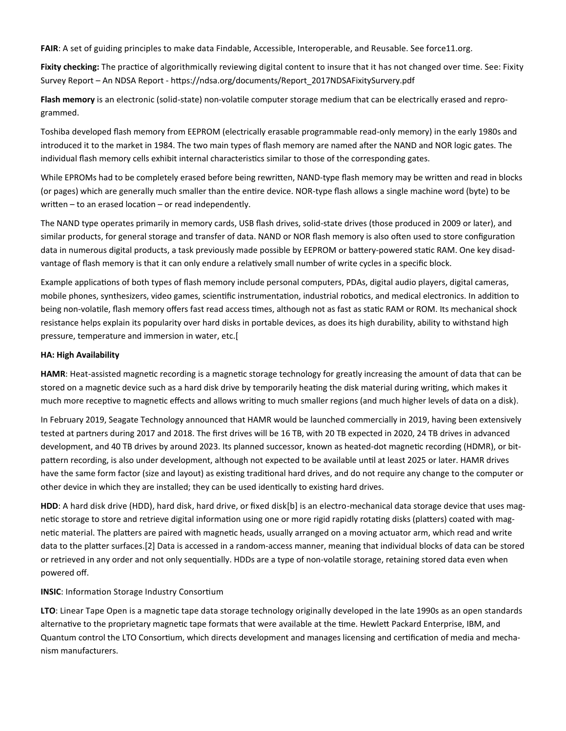**FAIR**: A set of guiding principles to make data Findable, Accessible, Interoperable, and Reusable. See force11.org.

**Fixity checking:** The practice of algorithmically reviewing digital content to insure that it has not changed over time. See: Fixity Survey Report – An NDSA Report - https://ndsa.org/documents/Report\_2017NDSAFixitySurvery.pdf

**Flash memory** is an electronic (solid-state) non-volatile computer storage medium that can be electrically erased and reprogrammed.

Toshiba developed flash memory from EEPROM (electrically erasable programmable read-only memory) in the early 1980s and introduced it to the market in 1984. The two main types of flash memory are named after the NAND and NOR logic gates. The individual flash memory cells exhibit internal characteristics similar to those of the corresponding gates.

While EPROMs had to be completely erased before being rewritten, NAND-type flash memory may be written and read in blocks (or pages) which are generally much smaller than the entire device. NOR-type flash allows a single machine word (byte) to be written – to an erased location – or read independently.

The NAND type operates primarily in memory cards, USB flash drives, solid-state drives (those produced in 2009 or later), and similar products, for general storage and transfer of data. NAND or NOR flash memory is also often used to store configuration data in numerous digital products, a task previously made possible by EEPROM or battery-powered static RAM. One key disadvantage of flash memory is that it can only endure a relatively small number of write cycles in a specific block.

Example applications of both types of flash memory include personal computers, PDAs, digital audio players, digital cameras, mobile phones, synthesizers, video games, scientific instrumentation, industrial robotics, and medical electronics. In addition to being non-volatile, flash memory offers fast read access times, although not as fast as static RAM or ROM. Its mechanical shock resistance helps explain its popularity over hard disks in portable devices, as does its high durability, ability to withstand high pressure, temperature and immersion in water, etc.[

#### **HA: High Availability**

**HAMR**: Heat-assisted magnetic recording is a magnetic storage technology for greatly increasing the amount of data that can be stored on a magnetic device such as a hard disk drive by temporarily heating the disk material during writing, which makes it much more receptive to magnetic effects and allows writing to much smaller regions (and much higher levels of data on a disk).

In February 2019, Seagate Technology announced that HAMR would be launched commercially in 2019, having been extensively tested at partners during 2017 and 2018. The first drives will be 16 TB, with 20 TB expected in 2020, 24 TB drives in advanced development, and 40 TB drives by around 2023. Its planned successor, known as heated-dot magnetic recording (HDMR), or bitpattern recording, is also under development, although not expected to be available until at least 2025 or later. HAMR drives have the same form factor (size and layout) as existing traditional hard drives, and do not require any change to the computer or other device in which they are installed; they can be used identically to existing hard drives.

**HDD**: A hard disk drive (HDD), hard disk, hard drive, or fixed disk[b] is an electro-mechanical data storage device that uses magnetic storage to store and retrieve digital information using one or more rigid rapidly rotating disks (platters) coated with magnetic material. The platters are paired with magnetic heads, usually arranged on a moving actuator arm, which read and write data to the platter surfaces.[2] Data is accessed in a random-access manner, meaning that individual blocks of data can be stored or retrieved in any order and not only sequentially. HDDs are a type of non-volatile storage, retaining stored data even when powered off.

#### **INSIC**: Information Storage Industry Consortium

**LTO**: Linear Tape Open is a magnetic tape data storage technology originally developed in the late 1990s as an open standards alternative to the proprietary magnetic tape formats that were available at the time. Hewlett Packard Enterprise, IBM, and Quantum control the LTO Consortium, which directs development and manages licensing and certification of media and mechanism manufacturers.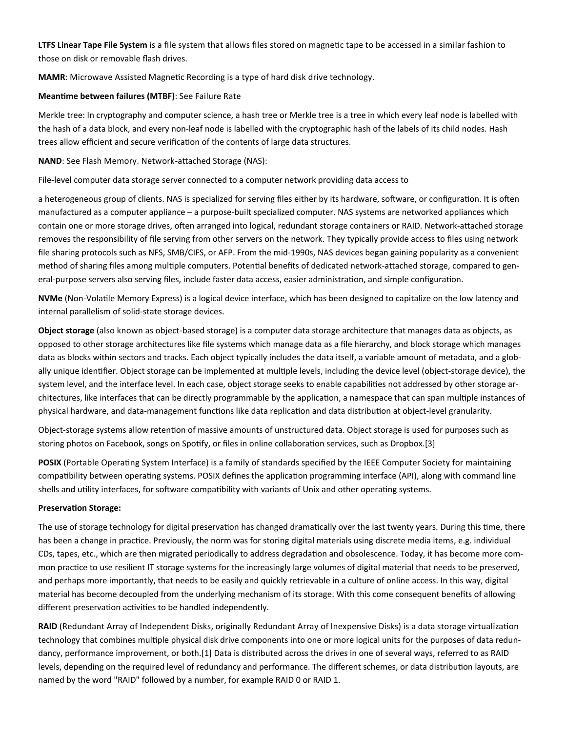**LTFS Linear Tape File System** is a file system that allows files stored on magnetic tape to be accessed in a similar fashion to those on disk or removable flash drives.

**MAMR**: Microwave Assisted Magnetic Recording is a type of hard disk drive technology.

### **Meantime between failures (MTBF)**: See Failure Rate

Merkle tree: In cryptography and computer science, a hash tree or Merkle tree is a tree in which every leaf node is labelled with the hash of a data block, and every non-leaf node is labelled with the cryptographic hash of the labels of its child nodes. Hash trees allow efficient and secure verification of the contents of large data structures.

**NAND**: See Flash Memory. Network-attached Storage (NAS):

File-level computer data storage server connected to a computer network providing data access to

a heterogeneous group of clients. NAS is specialized for serving files either by its hardware, software, or configuration. It is often manufactured as a computer appliance – a purpose-built specialized computer. NAS systems are networked appliances which contain one or more storage drives, often arranged into logical, redundant storage containers or RAID. Network-attached storage removes the responsibility of file serving from other servers on the network. They typically provide access to files using network file sharing protocols such as NFS, SMB/CIFS, or AFP. From the mid-1990s, NAS devices began gaining popularity as a convenient method of sharing files among multiple computers. Potential benefits of dedicated network-attached storage, compared to general-purpose servers also serving files, include faster data access, easier administration, and simple configuration.

**NVMe** (Non-Volatile Memory Express) is a logical device interface, which has been designed to capitalize on the low latency and internal parallelism of solid-state storage devices.

**Object storage** (also known as object-based storage) is a computer data storage architecture that manages data as objects, as opposed to other storage architectures like file systems which manage data as a file hierarchy, and block storage which manages data as blocks within sectors and tracks. Each object typically includes the data itself, a variable amount of metadata, and a globally unique identifier. Object storage can be implemented at multiple levels, including the device level (object-storage device), the system level, and the interface level. In each case, object storage seeks to enable capabilities not addressed by other storage architectures, like interfaces that can be directly programmable by the application, a namespace that can span multiple instances of physical hardware, and data-management functions like data replication and data distribution at object-level granularity.

Object-storage systems allow retention of massive amounts of unstructured data. Object storage is used for purposes such as storing photos on Facebook, songs on Spotify, or files in online collaboration services, such as Dropbox.[3]

**POSIX** (Portable Operating System Interface) is a family of standards specified by the IEEE Computer Society for maintaining compatibility between operating systems. POSIX defines the application programming interface (API), along with command line shells and utility interfaces, for software compatibility with variants of Unix and other operating systems.

#### **Preservation Storage:**

The use of storage technology for digital preservation has changed dramatically over the last twenty years. During this time, there has been a change in practice. Previously, the norm was for storing digital materials using discrete media items, e.g. individual CDs, tapes, etc., which are then migrated periodically to address degradation and obsolescence. Today, it has become more common practice to use resilient IT storage systems for the increasingly large volumes of digital material that needs to be preserved, and perhaps more importantly, that needs to be easily and quickly retrievable in a culture of online access. In this way, digital material has become decoupled from the underlying mechanism of its storage. With this come consequent benefits of allowing different preservation activities to be handled independently.

**RAID** (Redundant Array of Independent Disks, originally Redundant Array of Inexpensive Disks) is a data storage virtualization technology that combines multiple physical disk drive components into one or more logical units for the purposes of data redundancy, performance improvement, or both.[1] Data is distributed across the drives in one of several ways, referred to as RAID levels, depending on the required level of redundancy and performance. The different schemes, or data distribution layouts, are named by the word "RAID" followed by a number, for example RAID 0 or RAID 1.